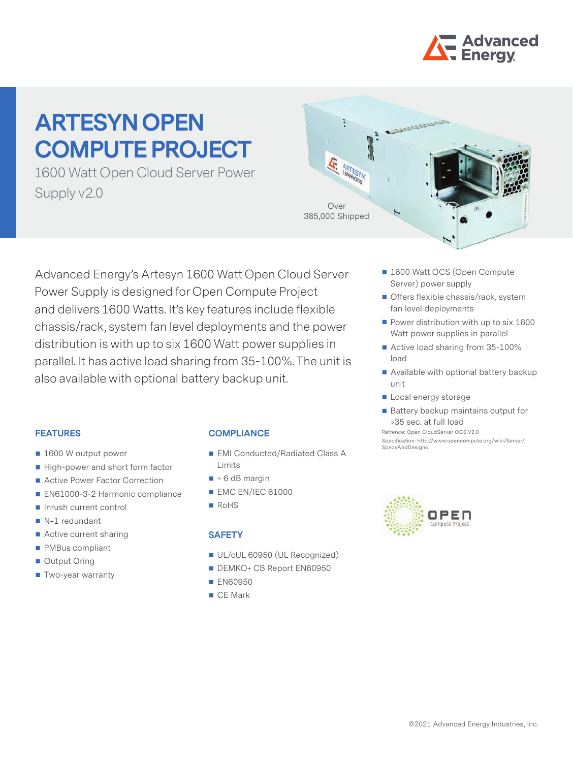

# **ARTESYN OPEN COMPUTE PROJECT**

1600 Watt Open Cloud Server Power Supply v2.0



Advanced Energy's Artesyn 1600 Watt Open Cloud Server Power Supply is designed for Open Compute Project and delivers 1600 Watts. It's key features include flexible chassis/rack, system fan level deployments and the power distribution is with up to six 1600 Watt power supplies in parallel. It has active load sharing from 35-100%. The unit is also available with optional battery backup unit.

#### **FEATURES**

- 1600 W output power
- High-power and short form factor
- Active Power Factor Correction
- EN61000-3-2 Harmonic compliance
- Inrush current control
- $N+1$  redundant
- Active current sharing
- **PMBus compliant**
- Output Oring
- **Two-year warranty**

#### **COMPLIANCE**

- EMI Conducted/Radiated Class A Limits
- $\blacksquare$  + 6 dB margin
- **EMC EN/IEC 61000**
- RoHS

## **SAFETY**

- UL/cUL 60950 (UL Recognized)
- DEMKO+ CB Report EN60950
- **EN60950**
- CF Mark
- 1600 Watt OCS (Open Compute Server) power supply
- **Offers flexible chassis/rack, system** fan level deployments
- $\blacksquare$  Power distribution with up to six 1600 Watt power supplies in parallel
- Active load sharing from 35-100% load
- Available with optional battery backup unit
- Local energy storage

SpecsAndDesigns

 $\blacksquare$  Battery backup maintains output for >35 sec. at full load Refrence: Open CloudServer OCS V2.0 Specification: http://www.opencompute.org/wiki/Server/

OPEN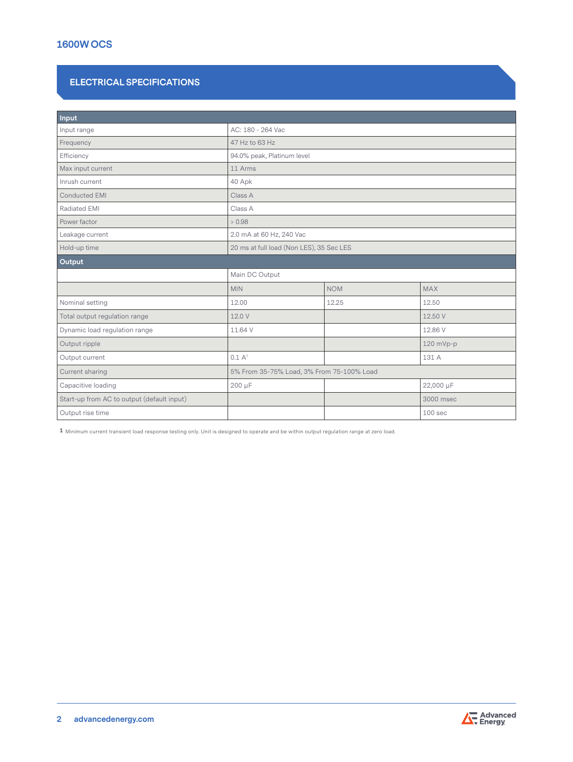# **1600W OCS**

# **ELECTRICAL SPECIFICATIONS**

| Input                                      |                                           |            |                    |
|--------------------------------------------|-------------------------------------------|------------|--------------------|
| Input range                                | AC: 180 - 264 Vac                         |            |                    |
| Frequency                                  | 47 Hz to 63 Hz                            |            |                    |
| Efficiency                                 | 94.0% peak, Platinum level                |            |                    |
| Max input current                          | 11 Arms                                   |            |                    |
| Inrush current                             | 40 Apk                                    |            |                    |
| Conducted EMI                              | Class A                                   |            |                    |
| <b>Radiated EMI</b>                        | Class A                                   |            |                    |
| Power factor                               | > 0.98                                    |            |                    |
| Leakage current                            | 2.0 mA at 60 Hz, 240 Vac                  |            |                    |
| Hold-up time                               | 20 ms at full load (Non LES), 35 Sec LES  |            |                    |
| Output                                     |                                           |            |                    |
|                                            | Main DC Output                            |            |                    |
|                                            | <b>MIN</b>                                | <b>NOM</b> | <b>MAX</b>         |
| Nominal setting                            | 12.00                                     | 12.25      | 12.50              |
| Total output regulation range              | 12.0 V                                    |            | 12.50 V            |
| Dynamic load regulation range              | 11.64 V                                   |            | 12.86 V            |
| Output ripple                              |                                           |            | 120 mVp-p          |
| Output current                             | 0.1 A <sup>1</sup>                        |            | 131 A              |
| Current sharing                            | 5% From 35-75% Load, 3% From 75-100% Load |            |                    |
| Capacitive loading                         | 200 µF                                    |            | 22,000 µF          |
| Start-up from AC to output (default input) |                                           |            | 3000 msec          |
| Output rise time                           |                                           |            | 100 <sub>sec</sub> |

**1** Minimum current transient load response testing only. Unit is designed to operate and be within output regulation range at zero load.

**2 [advancedenergy.com](http://www.advanced-energy.com)**

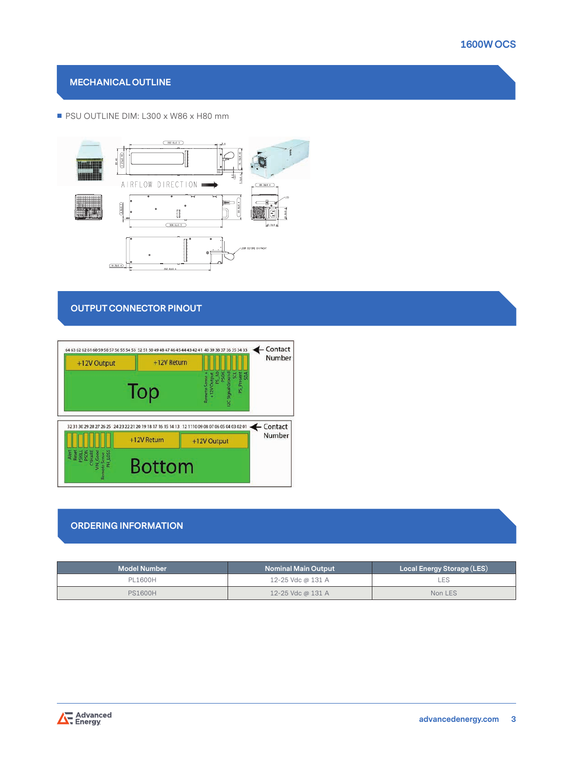## **MECHANICAL OUTLINE**

#### PSU OUTLINE DIM: L300 x W86 x H80 mm



### **OUTPUT CONNECTOR PINOUT**



#### **ORDERING INFORMATION**

| <b>Model Number</b> | <b>Nominal Main Output</b> | Local Energy Storage (LES) |
|---------------------|----------------------------|----------------------------|
| PL1600H             | 12-25 Vdc @ 131 A          | LES.                       |
| <b>PS1600H</b>      | 12-25 Vdc @ 131 A          | Non LES                    |